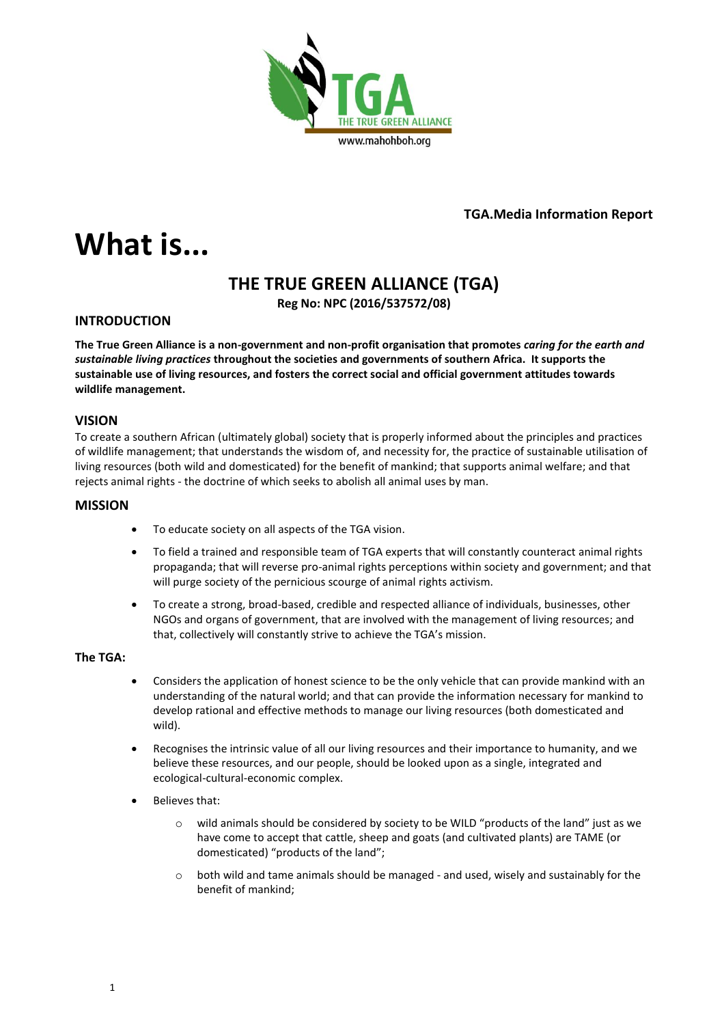

**TGA.Media Information Report**

# **What is...**

# **THE TRUE GREEN ALLIANCE (TGA)**

**Reg No: NPC (2016/537572/08)**

# **INTRODUCTION**

**The True Green Alliance is a non-government and non-profit organisation that promotes** *caring for the earth and sustainable living practices* **throughout the societies and governments of southern Africa. It supports the sustainable use of living resources, and fosters the correct social and official government attitudes towards wildlife management.**

# **VISION**

To create a southern African (ultimately global) society that is properly informed about the principles and practices of wildlife management; that understands the wisdom of, and necessity for, the practice of sustainable utilisation of living resources (both wild and domesticated) for the benefit of mankind; that supports animal welfare; and that rejects animal rights - the doctrine of which seeks to abolish all animal uses by man.

# **MISSION**

- To educate society on all aspects of the TGA vision.
- To field a trained and responsible team of TGA experts that will constantly counteract animal rights propaganda; that will reverse pro-animal rights perceptions within society and government; and that will purge society of the pernicious scourge of animal rights activism.
- To create a strong, broad-based, credible and respected alliance of individuals, businesses, other NGOs and organs of government, that are involved with the management of living resources; and that, collectively will constantly strive to achieve the TGA's mission.

# **The TGA:**

- Considers the application of honest science to be the only vehicle that can provide mankind with an understanding of the natural world; and that can provide the information necessary for mankind to develop rational and effective methods to manage our living resources (both domesticated and wild).
- Recognises the intrinsic value of all our living resources and their importance to humanity, and we believe these resources, and our people, should be looked upon as a single, integrated and ecological-cultural-economic complex.
- Believes that:
	- wild animals should be considered by society to be WILD "products of the land" just as we have come to accept that cattle, sheep and goats (and cultivated plants) are TAME (or domesticated) "products of the land";
	- $\circ$  both wild and tame animals should be managed and used, wisely and sustainably for the benefit of mankind;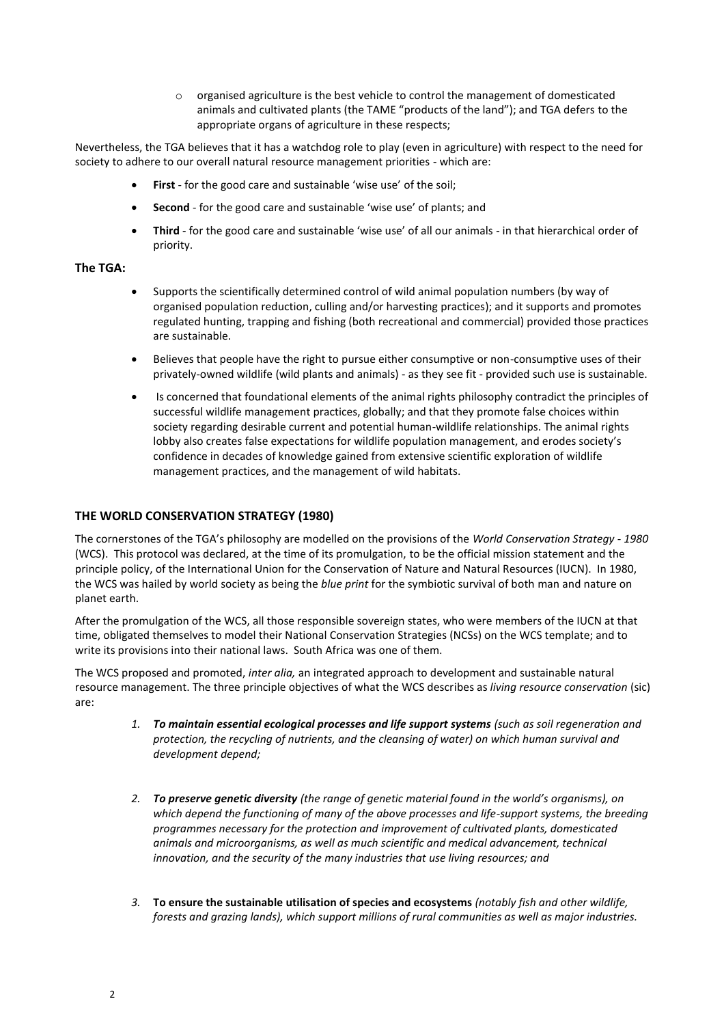o organised agriculture is the best vehicle to control the management of domesticated animals and cultivated plants (the TAME "products of the land"); and TGA defers to the appropriate organs of agriculture in these respects;

Nevertheless, the TGA believes that it has a watchdog role to play (even in agriculture) with respect to the need for society to adhere to our overall natural resource management priorities - which are:

- **First** for the good care and sustainable 'wise use' of the soil;
- **Second** for the good care and sustainable 'wise use' of plants; and
- **Third** for the good care and sustainable 'wise use' of all our animals in that hierarchical order of priority.

#### **The TGA:**

- Supports the scientifically determined control of wild animal population numbers (by way of organised population reduction, culling and/or harvesting practices); and it supports and promotes regulated hunting, trapping and fishing (both recreational and commercial) provided those practices are sustainable.
- Believes that people have the right to pursue either consumptive or non-consumptive uses of their privately-owned wildlife (wild plants and animals) - as they see fit - provided such use is sustainable.
- Is concerned that foundational elements of the animal rights philosophy contradict the principles of successful wildlife management practices, globally; and that they promote false choices within society regarding desirable current and potential human-wildlife relationships. The animal rights lobby also creates false expectations for wildlife population management, and erodes society's confidence in decades of knowledge gained from extensive scientific exploration of wildlife management practices, and the management of wild habitats.

#### **THE WORLD CONSERVATION STRATEGY (1980)**

The cornerstones of the TGA's philosophy are modelled on the provisions of the *World Conservation Strategy - 1980* (WCS). This protocol was declared, at the time of its promulgation, to be the official mission statement and the principle policy, of the International Union for the Conservation of Nature and Natural Resources (IUCN). In 1980, the WCS was hailed by world society as being the *blue print* for the symbiotic survival of both man and nature on planet earth.

After the promulgation of the WCS, all those responsible sovereign states, who were members of the IUCN at that time, obligated themselves to model their National Conservation Strategies (NCSs) on the WCS template; and to write its provisions into their national laws. South Africa was one of them.

The WCS proposed and promoted, *inter alia,* an integrated approach to development and sustainable natural resource management. The three principle objectives of what the WCS describes as *living resource conservation* (sic) are:

- *1. To maintain essential ecological processes and life support systems (such as soil regeneration and protection, the recycling of nutrients, and the cleansing of water) on which human survival and development depend;*
- *2. To preserve genetic diversity (the range of genetic material found in the world's organisms), on which depend the functioning of many of the above processes and life-support systems, the breeding programmes necessary for the protection and improvement of cultivated plants, domesticated animals and microorganisms, as well as much scientific and medical advancement, technical innovation, and the security of the many industries that use living resources; and*
- *3.* **To ensure the sustainable utilisation of species and ecosystems** *(notably fish and other wildlife, forests and grazing lands), which support millions of rural communities as well as major industries.*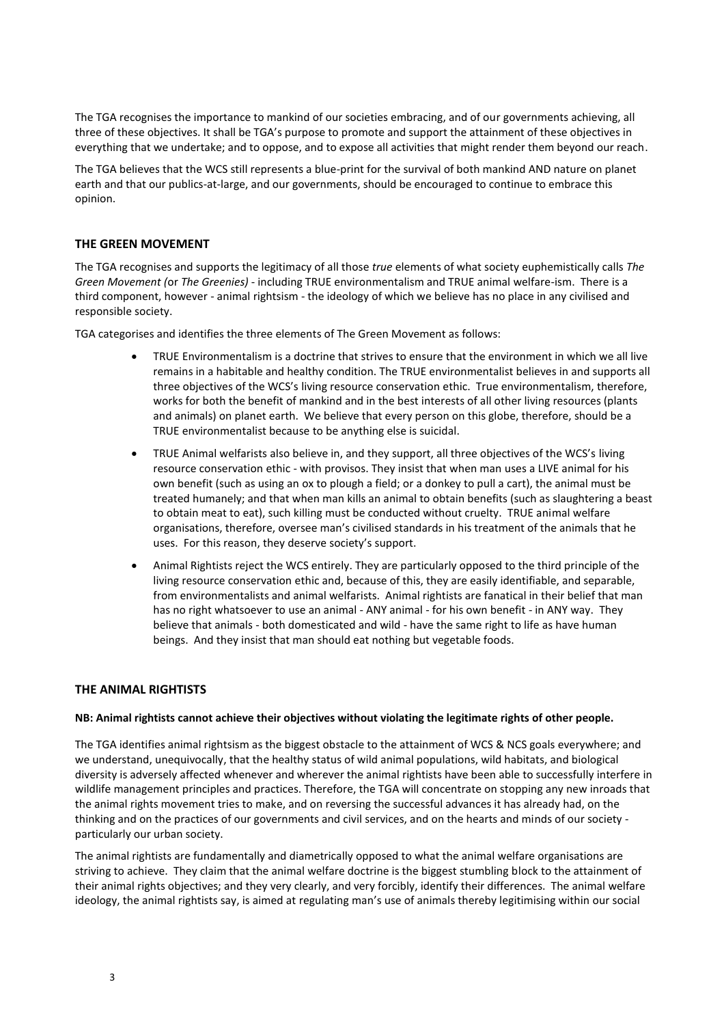The TGA recognises the importance to mankind of our societies embracing, and of our governments achieving, all three of these objectives. It shall be TGA's purpose to promote and support the attainment of these objectives in everything that we undertake; and to oppose, and to expose all activities that might render them beyond our reach.

The TGA believes that the WCS still represents a blue-print for the survival of both mankind AND nature on planet earth and that our publics-at-large, and our governments, should be encouraged to continue to embrace this opinion.

#### **THE GREEN MOVEMENT**

The TGA recognises and supports the legitimacy of all those *true* elements of what society euphemistically calls *The Green Movement (*or *The Greenies)* - including TRUE environmentalism and TRUE animal welfare-ism. There is a third component, however - animal rightsism - the ideology of which we believe has no place in any civilised and responsible society.

TGA categorises and identifies the three elements of The Green Movement as follows:

- TRUE Environmentalism is a doctrine that strives to ensure that the environment in which we all live remains in a habitable and healthy condition. The TRUE environmentalist believes in and supports all three objectives of the WCS's living resource conservation ethic. True environmentalism, therefore, works for both the benefit of mankind and in the best interests of all other living resources (plants and animals) on planet earth. We believe that every person on this globe, therefore, should be a TRUE environmentalist because to be anything else is suicidal.
- TRUE Animal welfarists also believe in, and they support, all three objectives of the WCS's living resource conservation ethic - with provisos. They insist that when man uses a LIVE animal for his own benefit (such as using an ox to plough a field; or a donkey to pull a cart), the animal must be treated humanely; and that when man kills an animal to obtain benefits (such as slaughtering a beast to obtain meat to eat), such killing must be conducted without cruelty. TRUE animal welfare organisations, therefore, oversee man's civilised standards in his treatment of the animals that he uses. For this reason, they deserve society's support.
- Animal Rightists reject the WCS entirely. They are particularly opposed to the third principle of the living resource conservation ethic and, because of this, they are easily identifiable, and separable, from environmentalists and animal welfarists. Animal rightists are fanatical in their belief that man has no right whatsoever to use an animal - ANY animal - for his own benefit - in ANY way. They believe that animals - both domesticated and wild - have the same right to life as have human beings. And they insist that man should eat nothing but vegetable foods.

#### **THE ANIMAL RIGHTISTS**

#### **NB: Animal rightists cannot achieve their objectives without violating the legitimate rights of other people.**

The TGA identifies animal rightsism as the biggest obstacle to the attainment of WCS & NCS goals everywhere; and we understand, unequivocally, that the healthy status of wild animal populations, wild habitats, and biological diversity is adversely affected whenever and wherever the animal rightists have been able to successfully interfere in wildlife management principles and practices. Therefore, the TGA will concentrate on stopping any new inroads that the animal rights movement tries to make, and on reversing the successful advances it has already had, on the thinking and on the practices of our governments and civil services, and on the hearts and minds of our society particularly our urban society.

The animal rightists are fundamentally and diametrically opposed to what the animal welfare organisations are striving to achieve. They claim that the animal welfare doctrine is the biggest stumbling block to the attainment of their animal rights objectives; and they very clearly, and very forcibly, identify their differences. The animal welfare ideology, the animal rightists say, is aimed at regulating man's use of animals thereby legitimising within our social